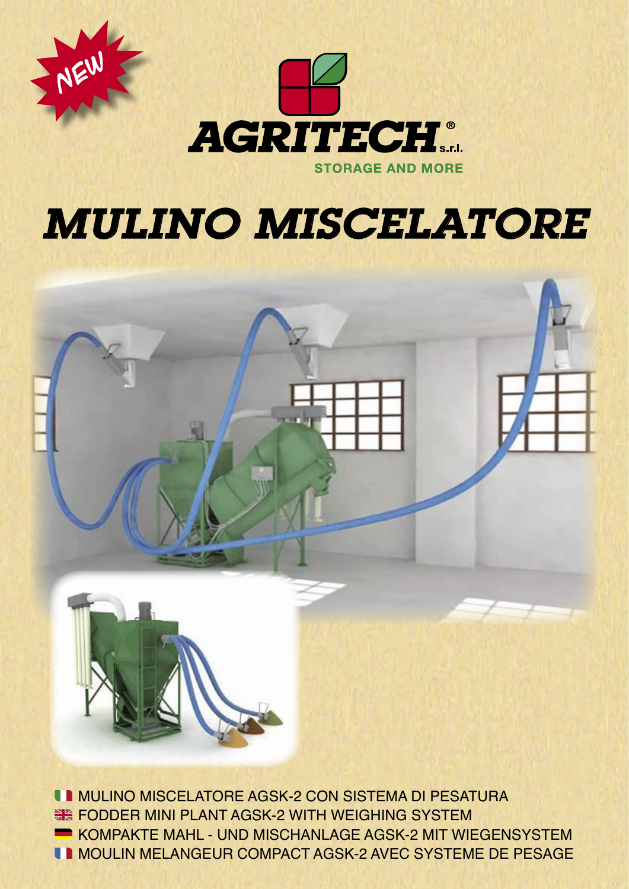

NEW

# *MULINO MISCELATORE*



**INULINO MISCELATORE AGSK-2 CON SISTEMA DI PESATURA EXAGGERY MINI PLANT AGSK-2 WITH WEIGHING SYSTEM KOMPAKTE MAHL - UND MISCHANLAGE AGSK-2 MIT WIEGENSYSTEM IN MOULIN MELANGEUR COMPACT AGSK-2 AVEC SYSTEME DE PESAGE**